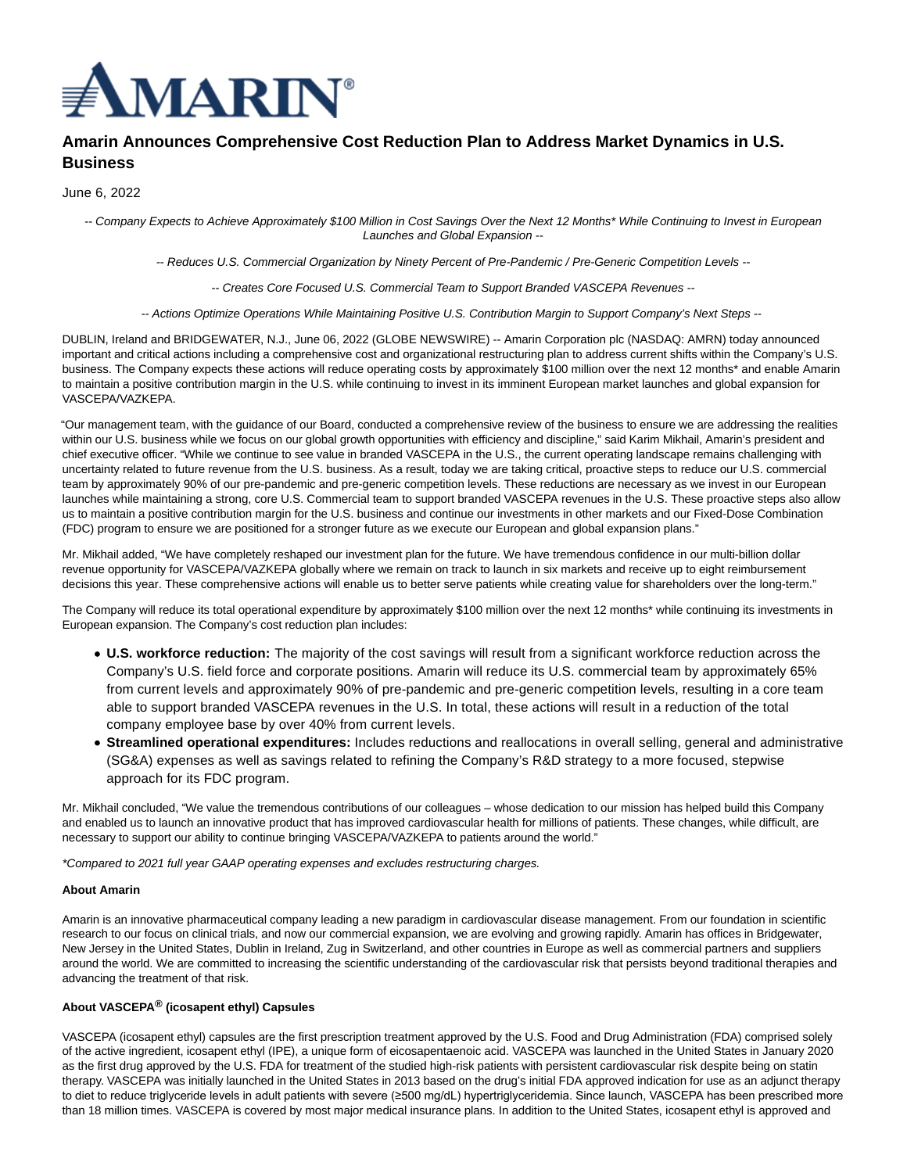

# **Amarin Announces Comprehensive Cost Reduction Plan to Address Market Dynamics in U.S. Business**

June 6, 2022

-- Company Expects to Achieve Approximately \$100 Million in Cost Savings Over the Next 12 Months\* While Continuing to Invest in European Launches and Global Expansion --

-- Reduces U.S. Commercial Organization by Ninety Percent of Pre-Pandemic / Pre-Generic Competition Levels --

-- Creates Core Focused U.S. Commercial Team to Support Branded VASCEPA Revenues --

-- Actions Optimize Operations While Maintaining Positive U.S. Contribution Margin to Support Company's Next Steps --

DUBLIN, Ireland and BRIDGEWATER, N.J., June 06, 2022 (GLOBE NEWSWIRE) -- Amarin Corporation plc (NASDAQ: AMRN) today announced important and critical actions including a comprehensive cost and organizational restructuring plan to address current shifts within the Company's U.S. business. The Company expects these actions will reduce operating costs by approximately \$100 million over the next 12 months\* and enable Amarin to maintain a positive contribution margin in the U.S. while continuing to invest in its imminent European market launches and global expansion for VASCEPA/VAZKEPA.

"Our management team, with the guidance of our Board, conducted a comprehensive review of the business to ensure we are addressing the realities within our U.S. business while we focus on our global growth opportunities with efficiency and discipline," said Karim Mikhail, Amarin's president and chief executive officer. "While we continue to see value in branded VASCEPA in the U.S., the current operating landscape remains challenging with uncertainty related to future revenue from the U.S. business. As a result, today we are taking critical, proactive steps to reduce our U.S. commercial team by approximately 90% of our pre-pandemic and pre-generic competition levels. These reductions are necessary as we invest in our European launches while maintaining a strong, core U.S. Commercial team to support branded VASCEPA revenues in the U.S. These proactive steps also allow us to maintain a positive contribution margin for the U.S. business and continue our investments in other markets and our Fixed-Dose Combination (FDC) program to ensure we are positioned for a stronger future as we execute our European and global expansion plans."

Mr. Mikhail added, "We have completely reshaped our investment plan for the future. We have tremendous confidence in our multi-billion dollar revenue opportunity for VASCEPA/VAZKEPA globally where we remain on track to launch in six markets and receive up to eight reimbursement decisions this year. These comprehensive actions will enable us to better serve patients while creating value for shareholders over the long-term."

The Company will reduce its total operational expenditure by approximately \$100 million over the next 12 months\* while continuing its investments in European expansion. The Company's cost reduction plan includes:

- **U.S. workforce reduction:** The majority of the cost savings will result from a significant workforce reduction across the Company's U.S. field force and corporate positions. Amarin will reduce its U.S. commercial team by approximately 65% from current levels and approximately 90% of pre-pandemic and pre-generic competition levels, resulting in a core team able to support branded VASCEPA revenues in the U.S. In total, these actions will result in a reduction of the total company employee base by over 40% from current levels.
- **Streamlined operational expenditures:** Includes reductions and reallocations in overall selling, general and administrative (SG&A) expenses as well as savings related to refining the Company's R&D strategy to a more focused, stepwise approach for its FDC program.

Mr. Mikhail concluded, "We value the tremendous contributions of our colleagues – whose dedication to our mission has helped build this Company and enabled us to launch an innovative product that has improved cardiovascular health for millions of patients. These changes, while difficult, are necessary to support our ability to continue bringing VASCEPA/VAZKEPA to patients around the world."

\*Compared to 2021 full year GAAP operating expenses and excludes restructuring charges.

## **About Amarin**

Amarin is an innovative pharmaceutical company leading a new paradigm in cardiovascular disease management. From our foundation in scientific research to our focus on clinical trials, and now our commercial expansion, we are evolving and growing rapidly. Amarin has offices in Bridgewater, New Jersey in the United States, Dublin in Ireland, Zug in Switzerland, and other countries in Europe as well as commercial partners and suppliers around the world. We are committed to increasing the scientific understanding of the cardiovascular risk that persists beyond traditional therapies and advancing the treatment of that risk.

## **About VASCEPA® (icosapent ethyl) Capsules**

VASCEPA (icosapent ethyl) capsules are the first prescription treatment approved by the U.S. Food and Drug Administration (FDA) comprised solely of the active ingredient, icosapent ethyl (IPE), a unique form of eicosapentaenoic acid. VASCEPA was launched in the United States in January 2020 as the first drug approved by the U.S. FDA for treatment of the studied high-risk patients with persistent cardiovascular risk despite being on statin therapy. VASCEPA was initially launched in the United States in 2013 based on the drug's initial FDA approved indication for use as an adjunct therapy to diet to reduce triglyceride levels in adult patients with severe (≥500 mg/dL) hypertriglyceridemia. Since launch, VASCEPA has been prescribed more than 18 million times. VASCEPA is covered by most major medical insurance plans. In addition to the United States, icosapent ethyl is approved and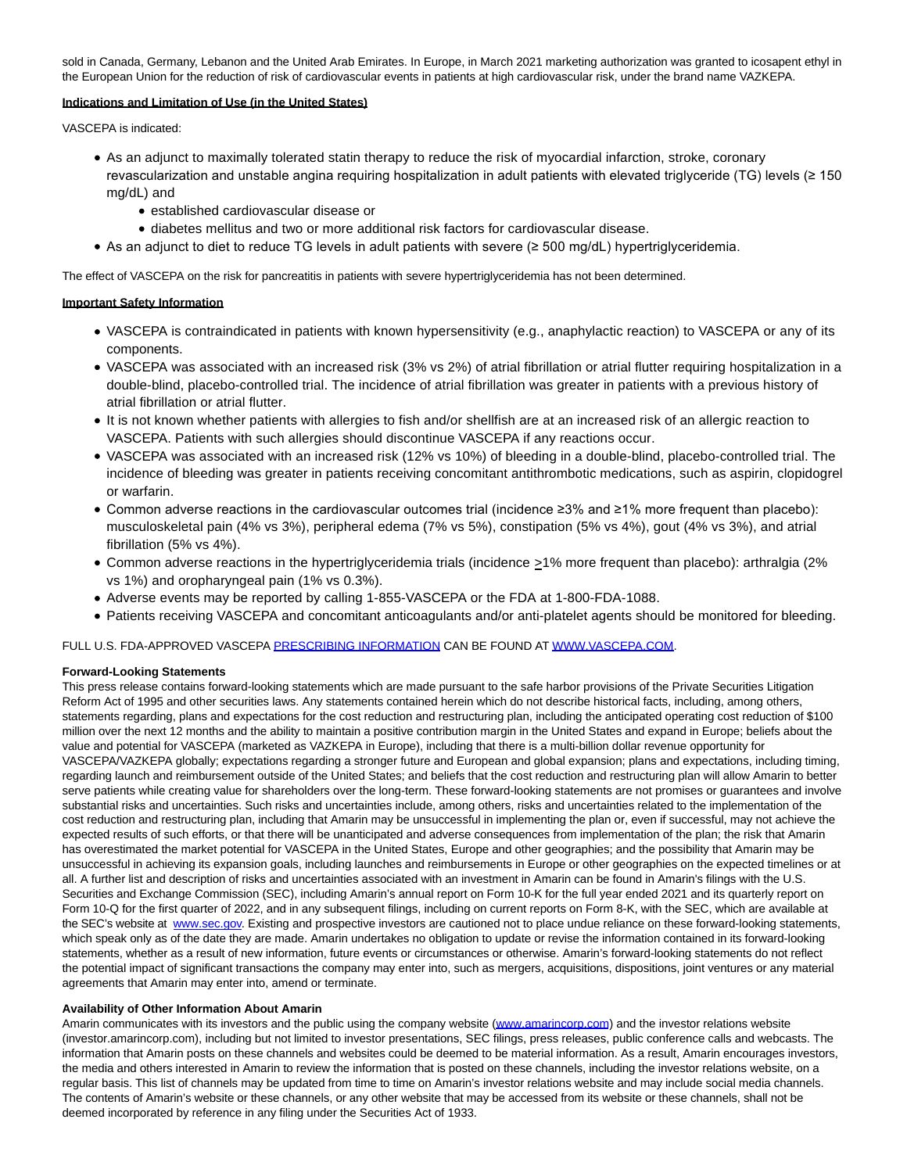sold in Canada, Germany, Lebanon and the United Arab Emirates. In Europe, in March 2021 marketing authorization was granted to icosapent ethyl in the European Union for the reduction of risk of cardiovascular events in patients at high cardiovascular risk, under the brand name VAZKEPA.

## **Indications and Limitation of Use (in the United States)**

VASCEPA is indicated:

- As an adjunct to maximally tolerated statin therapy to reduce the risk of myocardial infarction, stroke, coronary revascularization and unstable angina requiring hospitalization in adult patients with elevated triglyceride (TG) levels (≥ 150 mg/dL) and
	- **established cardiovascular disease or**
	- diabetes mellitus and two or more additional risk factors for cardiovascular disease.
- As an adjunct to diet to reduce TG levels in adult patients with severe (≥ 500 mg/dL) hypertriglyceridemia.

The effect of VASCEPA on the risk for pancreatitis in patients with severe hypertriglyceridemia has not been determined.

## **Important Safety Information**

- VASCEPA is contraindicated in patients with known hypersensitivity (e.g., anaphylactic reaction) to VASCEPA or any of its components.
- VASCEPA was associated with an increased risk (3% vs 2%) of atrial fibrillation or atrial flutter requiring hospitalization in a double-blind, placebo-controlled trial. The incidence of atrial fibrillation was greater in patients with a previous history of atrial fibrillation or atrial flutter.
- It is not known whether patients with allergies to fish and/or shellfish are at an increased risk of an allergic reaction to VASCEPA. Patients with such allergies should discontinue VASCEPA if any reactions occur.
- VASCEPA was associated with an increased risk (12% vs 10%) of bleeding in a double-blind, placebo-controlled trial. The incidence of bleeding was greater in patients receiving concomitant antithrombotic medications, such as aspirin, clopidogrel or warfarin.
- Common adverse reactions in the cardiovascular outcomes trial (incidence ≥3% and ≥1% more frequent than placebo): musculoskeletal pain (4% vs 3%), peripheral edema (7% vs 5%), constipation (5% vs 4%), gout (4% vs 3%), and atrial fibrillation (5% vs 4%).
- Common adverse reactions in the hypertriglyceridemia trials (incidence >1% more frequent than placebo): arthralgia (2% vs 1%) and oropharyngeal pain (1% vs 0.3%).
- Adverse events may be reported by calling 1-855-VASCEPA or the FDA at 1-800-FDA-1088.
- Patients receiving VASCEPA and concomitant anticoagulants and/or anti-platelet agents should be monitored for bleeding.

FULL U.S. FDA-APPROVED VASCEPA [PRESCRIBING INFORMATION C](https://www.globenewswire.com/Tracker?data=2RfFszX3rHgJYAcN5clhxpGu36cKo4nrkPdQ_bZQj6ZhrW-ed76x4-7qvTH3am5mewi7I-z4ZYnmhz1JwzWiWxhmz_zBFetPwi2LECyt0dfEi8lCtzq-yyX9SzIP0vKu)AN BE FOUND AT [WWW.VASCEPA.COM.](https://www.globenewswire.com/Tracker?data=2EKfvo0QDk37IAcXoxb69HxTEb2bZI1PDb-GfUtlDk2M2kAREQqUafnG5Tyb9KktyYsQfghc6Uy29kWrCm4Rlw==)

## **Forward-Looking Statements**

This press release contains forward-looking statements which are made pursuant to the safe harbor provisions of the Private Securities Litigation Reform Act of 1995 and other securities laws. Any statements contained herein which do not describe historical facts, including, among others, statements regarding, plans and expectations for the cost reduction and restructuring plan, including the anticipated operating cost reduction of \$100 million over the next 12 months and the ability to maintain a positive contribution margin in the United States and expand in Europe; beliefs about the value and potential for VASCEPA (marketed as VAZKEPA in Europe), including that there is a multi-billion dollar revenue opportunity for VASCEPA/VAZKEPA globally; expectations regarding a stronger future and European and global expansion; plans and expectations, including timing, regarding launch and reimbursement outside of the United States; and beliefs that the cost reduction and restructuring plan will allow Amarin to better serve patients while creating value for shareholders over the long-term. These forward-looking statements are not promises or guarantees and involve substantial risks and uncertainties. Such risks and uncertainties include, among others, risks and uncertainties related to the implementation of the cost reduction and restructuring plan, including that Amarin may be unsuccessful in implementing the plan or, even if successful, may not achieve the expected results of such efforts, or that there will be unanticipated and adverse consequences from implementation of the plan; the risk that Amarin has overestimated the market potential for VASCEPA in the United States, Europe and other geographies; and the possibility that Amarin may be unsuccessful in achieving its expansion goals, including launches and reimbursements in Europe or other geographies on the expected timelines or at all. A further list and description of risks and uncertainties associated with an investment in Amarin can be found in Amarin's filings with the U.S. Securities and Exchange Commission (SEC), including Amarin's annual report on Form 10-K for the full year ended 2021 and its quarterly report on Form 10-Q for the first quarter of 2022, and in any subsequent filings, including on current reports on Form 8-K, with the SEC, which are available at the SEC's website at [www.sec.gov.](https://www.globenewswire.com/Tracker?data=JsrBIsE4Jb3Zx2abD02wWJsBeY83fo7SX_MVvRLmi8qXsVZlKdGfDC_idGUeXBtryH6gFK9C7IPuxk8GleV-vg==) Existing and prospective investors are cautioned not to place undue reliance on these forward-looking statements, which speak only as of the date they are made. Amarin undertakes no obligation to update or revise the information contained in its forward-looking statements, whether as a result of new information, future events or circumstances or otherwise. Amarin's forward-looking statements do not reflect the potential impact of significant transactions the company may enter into, such as mergers, acquisitions, dispositions, joint ventures or any material agreements that Amarin may enter into, amend or terminate.

## **Availability of Other Information About Amarin**

Amarin communicates with its investors and the public using the company website [\(www.amarincorp.com\)](https://www.globenewswire.com/Tracker?data=IbcmIEnk_SHquzWNxllgUg-he8wgnWH9YsqXua6pUJQoAkD_JkBO8s48Jnx01V-ovEjtEB3mqzxdr0Z_JujeyWep_5OSjy5xCPDKRHNU9vk=) and the investor relations website (investor.amarincorp.com), including but not limited to investor presentations, SEC filings, press releases, public conference calls and webcasts. The information that Amarin posts on these channels and websites could be deemed to be material information. As a result, Amarin encourages investors, the media and others interested in Amarin to review the information that is posted on these channels, including the investor relations website, on a regular basis. This list of channels may be updated from time to time on Amarin's investor relations website and may include social media channels. The contents of Amarin's website or these channels, or any other website that may be accessed from its website or these channels, shall not be deemed incorporated by reference in any filing under the Securities Act of 1933.